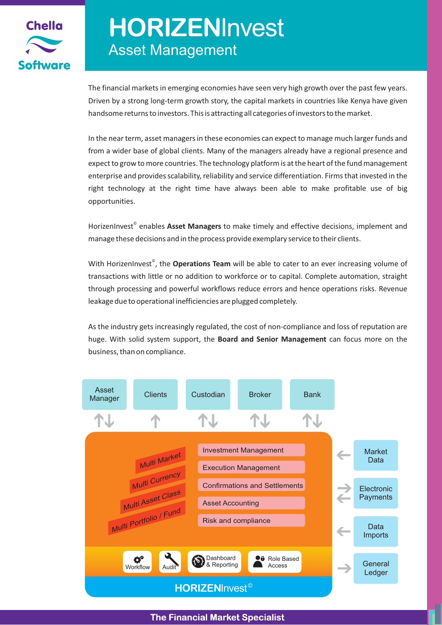

# Asset Management **HORIZEN**Invest

The financial markets in emerging economies have seen very high growth over the past few years. Driven by a strong long-term growth story, the capital markets in countries like Kenya have given handsome returns to investors. This is attracting all categories of investors to the market.

In the near term, asset managers in these economies can expect to manage much larger funds and from a wider base of global clients. Many of the managers already have a regional presence and expect to grow to more countries. The technology platform is at the heart of the fund management enterprise and provides scalability, reliability and service differentiation. Firms that invested in the right technology at the right time have always been able to make profitable use of big opportunities.

HorizenInvest<sup>®</sup> enables Asset Managers to make timely and effective decisions, implement and manage these decisions and in the process provide exemplary service to their clients.

With HorizenInvest<sup>®</sup>, the **Operations Team** will be able to cater to an ever increasing volume of transactions with little or no addition to workforce or to capital. Complete automation, straight through processing and powerful workflows reduce errors and hence operations risks. Revenue leakage due to operational inefficiencies are plugged completely.

As the industry gets increasingly regulated, the cost of non-compliance and loss of reputation are huge. With solid system support, the **Board and Senior Management** can focus more on the business, than on compliance.



**The Financial Market Specialist**